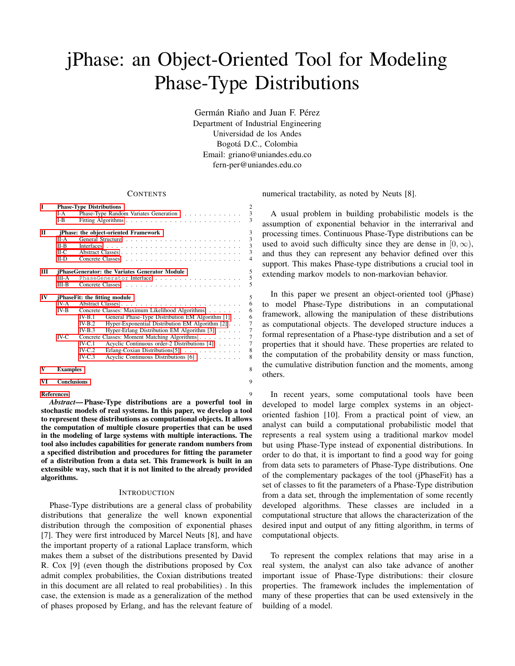# jPhase: an Object-Oriented Tool for Modeling Phase-Type Distributions

Germán Riaño and Juan F. Pérez Department of Industrial Engineering Universidad de los Andes Bogota D.C., Colombia ´ Email: griano@uniandes.edu.co fern-per@uniandes.edu.co

## **CONTENTS**

| Т            |                                      | <b>Phase-Type Distributions</b>                              | $\overline{2}$          |  |  |  |
|--------------|--------------------------------------|--------------------------------------------------------------|-------------------------|--|--|--|
|              | $I-A$                                | Phase-Type Random Variates Generation                        | $\overline{\mathbf{3}}$ |  |  |  |
|              | $I-B$                                |                                                              | 3                       |  |  |  |
| $\mathbf{H}$ |                                      | jPhase: the object-oriented Framework                        | $\overline{3}$          |  |  |  |
|              | $II-A$                               |                                                              | $\overline{\mathbf{3}}$ |  |  |  |
|              | $II-B$                               |                                                              | 3                       |  |  |  |
|              | $H-C$                                |                                                              | $\overline{\mathbf{3}}$ |  |  |  |
|              | $II-D$                               |                                                              | $\overline{4}$          |  |  |  |
| Ш            |                                      | jPhaseGenerator: the Variates Generator Module               | 5                       |  |  |  |
|              | III-A                                |                                                              | 5                       |  |  |  |
|              | $III-B$                              |                                                              | 5                       |  |  |  |
| IV           | <i>iPhaseFit: the fitting module</i> |                                                              |                         |  |  |  |
|              | IV-A                                 |                                                              | 6                       |  |  |  |
|              | $IV-B$                               | Concrete Classes: Maximum Likelihood Algorithms              | 6                       |  |  |  |
|              |                                      | General Phase-Type Distribution EM Algorithm [1]<br>$IV-B.1$ | 6                       |  |  |  |
|              |                                      | Hyper-Exponential Distribution EM Algorithm [2]<br>$IV-B.2$  | $\overline{7}$          |  |  |  |
|              |                                      | Hyper-Erlang Distribution EM Algorithm [3]<br>$IV-B.3$       | $\overline{7}$          |  |  |  |
|              | $IV-C$                               | Concrete Classes: Moment Matching Algorithms                 | $\overline{7}$          |  |  |  |
|              |                                      | $IV-C.1$<br>Acyclic Continuous order-2 Distributions [4]     | $\overline{7}$          |  |  |  |
|              |                                      | $IV-C.2$<br>Erlang-Coxian Distributions [5]                  | 8                       |  |  |  |
|              |                                      | $IV-C.3$<br>Acyclic Continuous Distributions [6]             | 8                       |  |  |  |
| V            | <b>Examples</b>                      |                                                              | 8                       |  |  |  |
| VI           | <b>Conclusions</b>                   |                                                              | 9                       |  |  |  |
|              | <b>References</b>                    |                                                              | 9                       |  |  |  |
|              |                                      |                                                              |                         |  |  |  |

*Abstract*— Phase-Type distributions are a powerful tool in stochastic models of real systems. In this paper, we develop a tool to represent these distributions as computational objects. It allows the computation of multiple closure properties that can be used in the modeling of large systems with multiple interactions. The tool also includes capabilities for generate random numbers from a specified distribution and procedures for fitting the parameter of a distribution from a data set. This framework is built in an extensible way, such that it is not limited to the already provided algorithms.

### **INTRODUCTION**

Phase-Type distributions are a general class of probability distributions that generalize the well known exponential distribution through the composition of exponential phases [7]. They were first introduced by Marcel Neuts [8], and have the important property of a rational Laplace transform, which makes them a subset of the distributions presented by David R. Cox [9] (even though the distributions proposed by Cox admit complex probabilities, the Coxian distributions treated in this document are all related to real probabilities) . In this case, the extension is made as a generalization of the method of phases proposed by Erlang, and has the relevant feature of numerical tractability, as noted by Neuts [8].

A usual problem in building probabilistic models is the assumption of exponential behavior in the interrarival and processing times. Continuous Phase-Type distributions can be used to avoid such difficulty since they are dense in  $[0, \infty)$ , and thus they can represent any behavior defined over this support. This makes Phase-type distributions a crucial tool in extending markov models to non-markovian behavior.

In this paper we present an object-oriented tool (jPhase) to model Phase-Type distributions in an computational framework, allowing the manipulation of these distributions as computational objects. The developed structure induces a formal representation of a Phase-type distribution and a set of properties that it should have. These properties are related to the computation of the probability density or mass function, the cumulative distribution function and the moments, among others.

In recent years, some computational tools have been developed to model large complex systems in an objectoriented fashion [10]. From a practical point of view, an analyst can build a computational probabilistic model that represents a real system using a traditional markov model but using Phase-Type instead of exponential distributions. In order to do that, it is important to find a good way for going from data sets to parameters of Phase-Type distributions. One of the complementary packages of the tool (jPhaseFit) has a set of classes to fit the parameters of a Phase-Type distribution from a data set, through the implementation of some recently developed algorithms. These classes are included in a computational structure that allows the characterization of the desired input and output of any fitting algorithm, in terms of computational objects.

To represent the complex relations that may arise in a real system, the analyst can also take advance of another important issue of Phase-Type distributions: their closure properties. The framework includes the implementation of many of these properties that can be used extensively in the building of a model.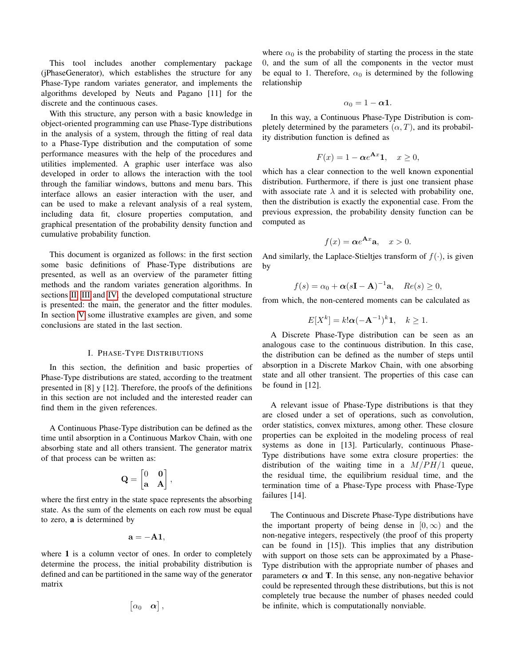This tool includes another complementary package (jPhaseGenerator), which establishes the structure for any Phase-Type random variates generator, and implements the algorithms developed by Neuts and Pagano [11] for the discrete and the continuous cases.

With this structure, any person with a basic knowledge in object-oriented programming can use Phase-Type distributions in the analysis of a system, through the fitting of real data to a Phase-Type distribution and the computation of some performance measures with the help of the procedures and utilities implemented. A graphic user interface was also developed in order to allows the interaction with the tool through the familiar windows, buttons and menu bars. This interface allows an easier interaction with the user, and can be used to make a relevant analysis of a real system, including data fit, closure properties computation, and graphical presentation of the probability density function and cumulative probability function.

This document is organized as follows: in the first section some basic definitions of Phase-Type distributions are presented, as well as an overview of the parameter fitting methods and the random variates generation algorithms. In sections [II,](#page-2-2) [III](#page-4-0) and [IV,](#page-4-3) the developed computational structure is presented: the main, the generator and the fitter modules. In section [V](#page-7-2) some illustrative examples are given, and some conclusions are stated in the last section.

## I. PHASE-TYPE DISTRIBUTIONS

<span id="page-1-0"></span>In this section, the definition and basic properties of Phase-Type distributions are stated, according to the treatment presented in [8] y [12]. Therefore, the proofs of the definitions in this section are not included and the interested reader can find them in the given references.

A Continuous Phase-Type distribution can be defined as the time until absorption in a Continuous Markov Chain, with one absorbing state and all others transient. The generator matrix of that process can be written as:

$$
\mathbf{Q} = \begin{bmatrix} 0 & \mathbf{0} \\ \mathbf{a} & \mathbf{A} \end{bmatrix},
$$

where the first entry in the state space represents the absorbing state. As the sum of the elements on each row must be equal to zero, a is determined by

$$
\mathbf{a}=-\mathbf{A}\mathbf{1},
$$

where 1 is a column vector of ones. In order to completely determine the process, the initial probability distribution is defined and can be partitioned in the same way of the generator matrix

$$
\begin{bmatrix} \alpha_0 & \boldsymbol{\alpha} \end{bmatrix},
$$

where  $\alpha_0$  is the probability of starting the process in the state 0, and the sum of all the components in the vector must be equal to 1. Therefore,  $\alpha_0$  is determined by the following relationship

$$
\alpha_0=1-\alpha\mathbf{1}.
$$

In this way, a Continuous Phase-Type Distribution is completely determined by the parameters  $(\alpha, T)$ , and its probability distribution function is defined as

$$
F(x) = 1 - \alpha e^{\mathbf{A}x} \mathbf{1}, \quad x \ge 0,
$$

which has a clear connection to the well known exponential distribution. Furthermore, if there is just one transient phase with associate rate  $\lambda$  and it is selected with probability one, then the distribution is exactly the exponential case. From the previous expression, the probability density function can be computed as

$$
f(x) = \alpha e^{\mathbf{A}x} \mathbf{a}, \quad x > 0.
$$

And similarly, the Laplace-Stieltjes transform of  $f(\cdot)$ , is given by

$$
f(s) = \alpha_0 + \alpha (s\mathbf{I} - \mathbf{A})^{-1} \mathbf{a}, \quad Re(s) \ge 0,
$$

from which, the non-centered moments can be calculated as

$$
E[X^k] = k! \alpha (-\mathbf{A}^{-1})^k \mathbf{1}, \quad k \ge 1.
$$

A Discrete Phase-Type distribution can be seen as an analogous case to the continuous distribution. In this case, the distribution can be defined as the number of steps until absorption in a Discrete Markov Chain, with one absorbing state and all other transient. The properties of this case can be found in [12].

A relevant issue of Phase-Type distributions is that they are closed under a set of operations, such as convolution, order statistics, convex mixtures, among other. These closure properties can be exploited in the modeling process of real systems as done in [13]. Particularly, continuous Phase-Type distributions have some extra closure properties: the distribution of the waiting time in a  $M/PH/1$  queue, the residual time, the equilibrium residual time, and the termination time of a Phase-Type process with Phase-Type failures [14].

The Continuous and Discrete Phase-Type distributions have the important property of being dense in  $[0, \infty)$  and the non-negative integers, respectively (the proof of this property can be found in [15]). This implies that any distribution with support on those sets can be approximated by a Phase-Type distribution with the appropriate number of phases and parameters  $\alpha$  and **T**. In this sense, any non-negative behavior could be represented through these distributions, but this is not completely true because the number of phases needed could be infinite, which is computationally nonviable.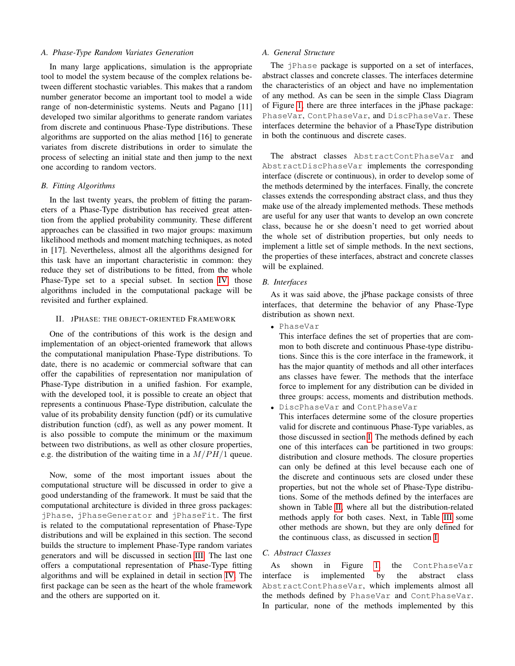## <span id="page-2-0"></span>*A. Phase-Type Random Variates Generation*

In many large applications, simulation is the appropriate tool to model the system because of the complex relations between different stochastic variables. This makes that a random number generator become an important tool to model a wide range of non-deterministic systems. Neuts and Pagano [11] developed two similar algorithms to generate random variates from discrete and continuous Phase-Type distributions. These algorithms are supported on the alias method [16] to generate variates from discrete distributions in order to simulate the process of selecting an initial state and then jump to the next one according to random vectors.

## <span id="page-2-1"></span>*B. Fitting Algorithms*

In the last twenty years, the problem of fitting the parameters of a Phase-Type distribution has received great attention from the applied probability community. These different approaches can be classified in two major groups: maximum likelihood methods and moment matching techniques, as noted in [17]. Nevertheless, almost all the algorithms designed for this task have an important characteristic in common: they reduce they set of distributions to be fitted, from the whole Phase-Type set to a special subset. In section [IV,](#page-4-3) those algorithms included in the computational package will be revisited and further explained.

# <span id="page-2-2"></span>II. JPHASE: THE OBJECT-ORIENTED FRAMEWORK

One of the contributions of this work is the design and implementation of an object-oriented framework that allows the computational manipulation Phase-Type distributions. To date, there is no academic or commercial software that can offer the capabilities of representation nor manipulation of Phase-Type distribution in a unified fashion. For example, with the developed tool, it is possible to create an object that represents a continuous Phase-Type distribution, calculate the value of its probability density function (pdf) or its cumulative distribution function (cdf), as well as any power moment. It is also possible to compute the minimum or the maximum between two distributions, as well as other closure properties, e.g. the distribution of the waiting time in a  $M/PH/1$  queue.

Now, some of the most important issues about the computational structure will be discussed in order to give a good understanding of the framework. It must be said that the computational architecture is divided in three gross packages: jPhase, jPhaseGenerator and jPhaseFit. The first is related to the computational representation of Phase-Type distributions and will be explained in this section. The second builds the structure to implement Phase-Type random variates generators and will be discussed in section [III.](#page-4-0) The last one offers a computational representation of Phase-Type fitting algorithms and will be explained in detail in section [IV.](#page-4-3) The first package can be seen as the heart of the whole framework and the others are supported on it.

## <span id="page-2-3"></span>*A. General Structure*

The jPhase package is supported on a set of interfaces, abstract classes and concrete classes. The interfaces determine the characteristics of an object and have no implementation of any method. As can be seen in the simple Class Diagram of Figure [1,](#page-3-1) there are three interfaces in the jPhase package: PhaseVar, ContPhaseVar, and DiscPhaseVar. These interfaces determine the behavior of a PhaseType distribution in both the continuous and discrete cases.

The abstract classes AbstractContPhaseVar and AbstractDiscPhaseVar implements the corresponding interface (discrete or continuous), in order to develop some of the methods determined by the interfaces. Finally, the concrete classes extends the corresponding abstract class, and thus they make use of the already implemented methods. These methods are useful for any user that wants to develop an own concrete class, because he or she doesn't need to get worried about the whole set of distribution properties, but only needs to implement a little set of simple methods. In the next sections, the properties of these interfaces, abstract and concrete classes will be explained.

# <span id="page-2-4"></span>*B. Interfaces*

As it was said above, the jPhase package consists of three interfaces, that determine the behavior of any Phase-Type distribution as shown next.

• PhaseVar

This interface defines the set of properties that are common to both discrete and continuous Phase-type distributions. Since this is the core interface in the framework, it has the major quantity of methods and all other interfaces ans classes have fewer. The methods that the interface force to implement for any distribution can be divided in three groups: access, moments and distribution methods.

• DiscPhaseVar and ContPhaseVar

This interfaces determine some of the closure properties valid for discrete and continuous Phase-Type variables, as those discussed in section [I.](#page-1-0) The methods defined by each one of this interfaces can be partitioned in two groups: distribution and closure methods. The closure properties can only be defined at this level because each one of the discrete and continuous sets are closed under these properties, but not the whole set of Phase-Type distributions. Some of the methods defined by the interfaces are shown in Table [II,](#page-3-2) where all but the distribution-related methods apply for both cases. Next, in Table [III](#page-3-3) some other methods are shown, but they are only defined for the continuous class, as discussed in section [I.](#page-1-0)

## <span id="page-2-5"></span>*C. Abstract Classes*

As shown in Figure [1,](#page-3-1) the ContPhaseVar interface is implemented by the abstract class AbstractContPhaseVar, which implements almost all the methods defined by PhaseVar and ContPhaseVar. In particular, none of the methods implemented by this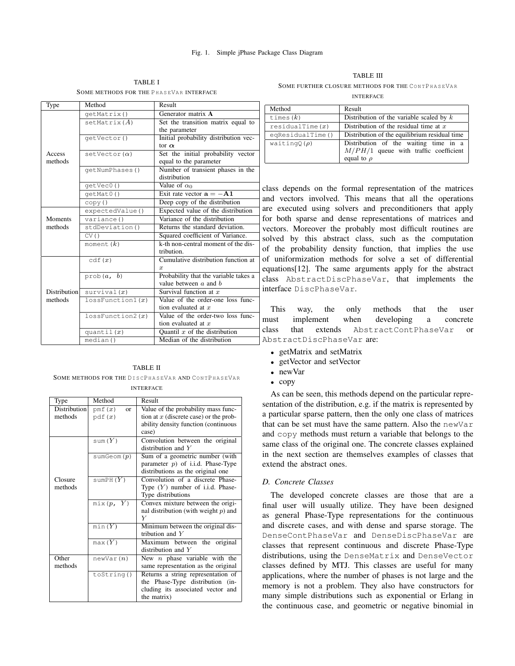## <span id="page-3-1"></span>Fig. 1. Simple jPhase Package Class Diagram

TABLE I SOME METHODS FOR THE PHASEVAR INTERFACE

| Type         | Method                   | Result                                                             |  |  |
|--------------|--------------------------|--------------------------------------------------------------------|--|--|
|              | qetMatrix()              | Generator matrix A                                                 |  |  |
|              | setMatrix(A)             | Set the transition matrix equal to                                 |  |  |
|              |                          | the parameter                                                      |  |  |
|              | qetVector()              | Initial probability distribution vec-                              |  |  |
|              |                          | tor $\alpha$                                                       |  |  |
| Access       | setVector $(\alpha)$     | Set the initial probability vector                                 |  |  |
| methods      |                          | equal to the parameter                                             |  |  |
|              | qetNumPhases()           | Number of transient phases in the                                  |  |  |
|              |                          | distribution                                                       |  |  |
|              | qetVec0()                | Value of $\alpha_0$                                                |  |  |
|              | qetMat0()                | Exit rate vector $\mathbf{a} = -\mathbf{A}\mathbf{1}$              |  |  |
|              | copy()                   | Deep copy of the distribution                                      |  |  |
|              | expectedValue()          | Expected value of the distribution                                 |  |  |
| Moments      | variance()               | Variance of the distribution                                       |  |  |
| methods      | stdDeviation()           | Returns the standard deviation.                                    |  |  |
|              | CV()                     | Squared coefficient of Variance.                                   |  |  |
|              | moment $(k)$             | k-th non-central moment of the dis-                                |  |  |
|              |                          | tribution.                                                         |  |  |
|              | cdf(x)                   | Cumulative distribution function at                                |  |  |
|              |                          | $\boldsymbol{x}$                                                   |  |  |
|              | prob(a, $\overline{b}$ ) | Probability that the variable takes a<br>value between $a$ and $b$ |  |  |
| Distribution | survival(x)              | Survival function at $x$                                           |  |  |
| methods      |                          | Value of the order-one loss func-                                  |  |  |
|              | lossFunction1(x)         | tion evaluated at $x$                                              |  |  |
|              | lossFunction2(x)         | Value of the order-two loss func-                                  |  |  |
|              |                          | tion evaluated at $x$                                              |  |  |
|              | quantil $(x)$            | Quantil $x$ of the distribution                                    |  |  |
|              | median()                 | Median of the distribution                                         |  |  |

## TABLE II

<span id="page-3-2"></span>SOME METHODS FOR THE DISCPHASEVAR AND CONTPHASEVAR **INTERFACE** 

| Type         | Method                     | Result                                   |
|--------------|----------------------------|------------------------------------------|
| Distribution | pmf $(x)$<br><sub>or</sub> | Value of the probability mass func-      |
| methods      | pdf(x)                     | tion at $x$ (discrete case) or the prob- |
|              |                            | ability density function (continuous     |
|              |                            | case)                                    |
|              | sum(Y)                     | Convolution between the original         |
|              |                            | distribution and $Y$                     |
|              | sumGeom(p)                 | Sum of a geometric number (with          |
|              |                            | parameter $p$ ) of i.i.d. Phase-Type     |
|              |                            | distributions as the original one        |
| Closure      | sumPH( $Y$ )               | Convolution of a discrete Phase-         |
| methods      |                            | Type $(Y)$ number of i.i.d. Phase-       |
|              |                            | Type distributions                       |
|              | $\text{mix}(p, Y)$         | Convex mixture between the origi-        |
|              |                            | nal distribution (with weight $p$ ) and  |
|              |                            | Y                                        |
|              | min(Y)                     | Minimum between the original dis-        |
|              |                            | tribution and $Y$                        |
|              | max(Y)                     | Maximum between the<br>original          |
|              |                            | distribution and $Y$                     |
| Other        | newVar(n)                  | New $n$ phase variable with the          |
| methods      |                            | same representation as the original      |
|              | to String()                | Returns a string representation of       |
|              |                            | the Phase-Type distribution (in-         |
|              |                            | cluding its associated vector and        |
|              |                            | the matrix)                              |

# <span id="page-3-3"></span>TABLE III SOME FURTHER CLOSURE METHODS FOR THE CONTPHASEVAR

INTERFACE

| Method            | Result                                                                                              |
|-------------------|-----------------------------------------------------------------------------------------------------|
| times $(k)$       | Distribution of the variable scaled by $k$                                                          |
| residualTime(x)   | Distribution of the residual time at $x$                                                            |
| eqResidualTime()  | Distribution of the equilibrium residual time                                                       |
| waiting $Q(\rho)$ | Distribution of the waiting time in a<br>$M/PH/1$ queue with traffic coefficient<br>equal to $\rho$ |

class depends on the formal representation of the matrices and vectors involved. This means that all the operations are executed using solvers and preconditioners that apply for both sparse and dense representations of matrices and vectors. Moreover the probably most difficult routines are solved by this abstract class, such as the computation of the probability density function, that implies the use of uniformization methods for solve a set of differential equations[12]. The same arguments apply for the abstract class AbstractDiscPhaseVar, that implements the interface DiscPhaseVar.

This way, the only methods that the user must implement when developing a concrete class that extends AbstractContPhaseVar or AbstractDiscPhaseVar are:

- getMatrix and setMatrix
- getVector and setVector
- newVar
- copy

As can be seen, this methods depend on the particular representation of the distribution, e.g. if the matrix is represented by a particular sparse pattern, then the only one class of matrices that can be set must have the same pattern. Also the newVar and copy methods must return a variable that belongs to the same class of the original one. The concrete classes explained in the next section are themselves examples of classes that extend the abstract ones.

## <span id="page-3-0"></span>*D. Concrete Classes*

The developed concrete classes are those that are a final user will usually utilize. They have been designed as general Phase-Type representations for the continuous and discrete cases, and with dense and sparse storage. The DenseContPhaseVar and DenseDiscPhaseVar are classes that represent continuous and discrete Phase-Type distributions, using the DenseMatrix and DenseVector classes defined by MTJ. This classes are useful for many applications, where the number of phases is not large and the memory is not a problem. They also have constructors for many simple distributions such as exponential or Erlang in the continuous case, and geometric or negative binomial in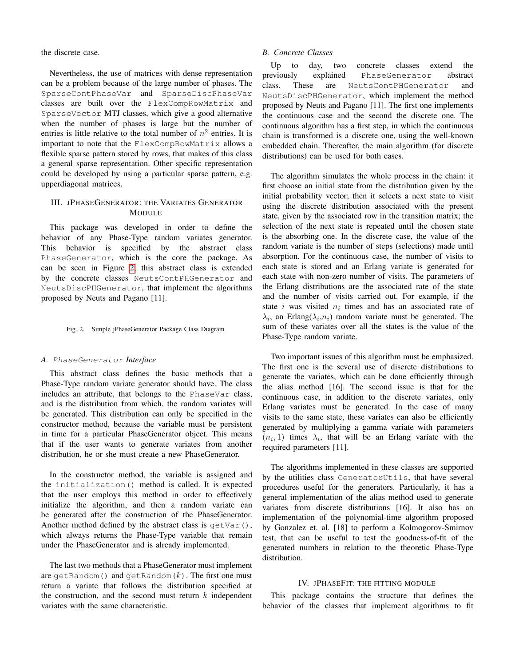the discrete case.

Nevertheless, the use of matrices with dense representation can be a problem because of the large number of phases. The SparseContPhaseVar and SparseDiscPhaseVar classes are built over the FlexCompRowMatrix and SparseVector MTJ classes, which give a good alternative when the number of phases is large but the number of entries is little relative to the total number of  $n^2$  entries. It is important to note that the FlexCompRowMatrix allows a flexible sparse pattern stored by rows, that makes of this class a general sparse representation. Other specific representation could be developed by using a particular sparse pattern, e.g. upperdiagonal matrices.

# <span id="page-4-0"></span>III. JPHASEGENERATOR: THE VARIATES GENERATOR MODULE

This package was developed in order to define the behavior of any Phase-Type random variates generator. This behavior is specified by the abstract class PhaseGenerator, which is the core the package. As can be seen in Figure [2,](#page-4-4) this abstract class is extended by the concrete classes NeutsContPHGenerator and NeutsDiscPHGenerator, that implement the algorithms proposed by Neuts and Pagano [11].

# <span id="page-4-4"></span>Fig. 2. Simple jPhaseGenerator Package Class Diagram

## <span id="page-4-1"></span>*A.* PhaseGenerator *Interface*

This abstract class defines the basic methods that a Phase-Type random variate generator should have. The class includes an attribute, that belongs to the PhaseVar class, and is the distribution from which, the random variates will be generated. This distribution can only be specified in the constructor method, because the variable must be persistent in time for a particular PhaseGenerator object. This means that if the user wants to generate variates from another distribution, he or she must create a new PhaseGenerator.

In the constructor method, the variable is assigned and the initialization() method is called. It is expected that the user employs this method in order to effectively initialize the algorithm, and then a random variate can be generated after the construction of the PhaseGenerator. Another method defined by the abstract class is  $q$ etVar(), which always returns the Phase-Type variable that remain under the PhaseGenerator and is already implemented.

The last two methods that a PhaseGenerator must implement are getRandom() and getRandom $(k)$ . The first one must return a variate that follows the distribution specified at the construction, and the second must return  $k$  independent variates with the same characteristic.

## <span id="page-4-2"></span>*B. Concrete Classes*

Up to day, two concrete classes extend the previously explained PhaseGenerator abstract class. These are NeutsContPHGenerator and NeutsDiscPHGenerator, which implement the method proposed by Neuts and Pagano [11]. The first one implements the continuous case and the second the discrete one. The continuous algorithm has a first step, in which the continuous chain is transformed is a discrete one, using the well-known embedded chain. Thereafter, the main algorithm (for discrete distributions) can be used for both cases.

The algorithm simulates the whole process in the chain: it first choose an initial state from the distribution given by the initial probability vector; then it selects a next state to visit using the discrete distribution associated with the present state, given by the associated row in the transition matrix; the selection of the next state is repeated until the chosen state is the absorbing one. In the discrete case, the value of the random variate is the number of steps (selections) made until absorption. For the continuous case, the number of visits to each state is stored and an Erlang variate is generated for each state with non-zero number of visits. The parameters of the Erlang distributions are the associated rate of the state and the number of visits carried out. For example, if the state *i* was visited  $n_i$  times and has an associated rate of  $\lambda_i$ , an Erlang( $\lambda_i, n_i$ ) random variate must be generated. The sum of these variates over all the states is the value of the Phase-Type random variate.

Two important issues of this algorithm must be emphasized. The first one is the several use of discrete distributions to generate the variates, which can be done efficiently through the alias method [16]. The second issue is that for the continuous case, in addition to the discrete variates, only Erlang variates must be generated. In the case of many visits to the same state, these variates can also be efficiently generated by multiplying a gamma variate with parameters  $(n_i, 1)$  times  $\lambda_i$ , that will be an Erlang variate with the required parameters [11].

The algorithms implemented in these classes are supported by the utilities class GeneratorUtils, that have several procedures useful for the generators. Particularly, it has a general implementation of the alias method used to generate variates from discrete distributions [16]. It also has an implementation of the polynomial-time algorithm proposed by Gonzalez et. al. [18] to perform a Kolmogorov-Smirnov test, that can be useful to test the goodness-of-fit of the generated numbers in relation to the theoretic Phase-Type distribution.

## IV. JPHASEFIT: THE FITTING MODULE

<span id="page-4-3"></span>This package contains the structure that defines the behavior of the classes that implement algorithms to fit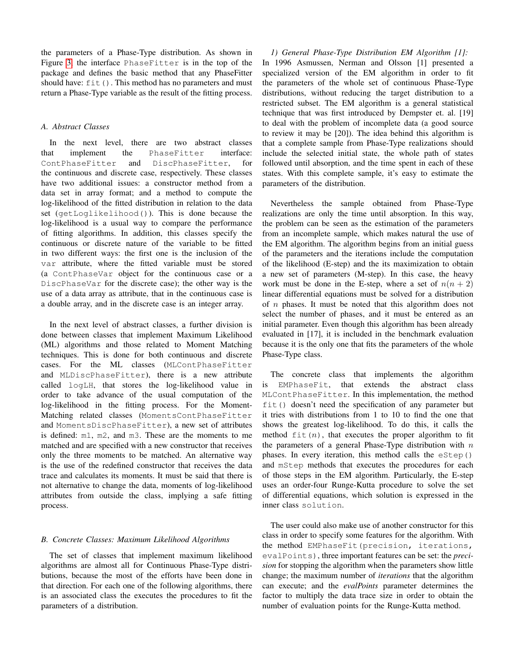the parameters of a Phase-Type distribution. As shown in Figure [3,](#page-6-4) the interface PhaseFitter is in the top of the package and defines the basic method that any PhaseFitter should have:  $f \text{it}(\cdot)$ . This method has no parameters and must return a Phase-Type variable as the result of the fitting process.

# <span id="page-5-0"></span>*A. Abstract Classes*

In the next level, there are two abstract classes that implement the PhaseFitter interface: ContPhaseFitter and DiscPhaseFitter, for the continuous and discrete case, respectively. These classes have two additional issues: a constructor method from a data set in array format; and a method to compute the log-likelihood of the fitted distribution in relation to the data set (getLoglikelihood()). This is done because the log-likelihood is a usual way to compare the performance of fitting algorithms. In addition, this classes specify the continuous or discrete nature of the variable to be fitted in two different ways: the first one is the inclusion of the var attribute, where the fitted variable must be stored (a ContPhaseVar object for the continuous case or a DiscPhaseVar for the discrete case); the other way is the use of a data array as attribute, that in the continuous case is a double array, and in the discrete case is an integer array.

In the next level of abstract classes, a further division is done between classes that implement Maximum Likelihood (ML) algorithms and those related to Moment Matching techniques. This is done for both continuous and discrete cases. For the ML classes (MLContPhaseFitter and MLDiscPhaseFitter), there is a new attribute called logLH, that stores the log-likelihood value in order to take advance of the usual computation of the log-likelihood in the fitting process. For the Moment-Matching related classes (MomentsContPhaseFitter and MomentsDiscPhaseFitter), a new set of attributes is defined: m1, m2, and m3. These are the moments to me matched and are specified with a new constructor that receives only the three moments to be matched. An alternative way is the use of the redefined constructor that receives the data trace and calculates its moments. It must be said that there is not alternative to change the data, moments of log-likelihood attributes from outside the class, implying a safe fitting process.

# <span id="page-5-1"></span>*B. Concrete Classes: Maximum Likelihood Algorithms*

The set of classes that implement maximum likelihood algorithms are almost all for Continuous Phase-Type distributions, because the most of the efforts have been done in that direction. For each one of the following algorithms, there is an associated class the executes the procedures to fit the parameters of a distribution.

<span id="page-5-2"></span>*1) General Phase-Type Distribution EM Algorithm [1]:* In 1996 Asmussen, Nerman and Olsson [1] presented a specialized version of the EM algorithm in order to fit the parameters of the whole set of continuous Phase-Type distributions, without reducing the target distribution to a restricted subset. The EM algorithm is a general statistical technique that was first introduced by Dempster et. al. [19] to deal with the problem of incomplete data (a good source to review it may be [20]). The idea behind this algorithm is that a complete sample from Phase-Type realizations should include the selected initial state, the whole path of states followed until absorption, and the time spent in each of these states. With this complete sample, it's easy to estimate the parameters of the distribution.

Nevertheless the sample obtained from Phase-Type realizations are only the time until absorption. In this way, the problem can be seen as the estimation of the parameters from an incomplete sample, which makes natural the use of the EM algorithm. The algorithm begins from an initial guess of the parameters and the iterations include the computation of the likelihood (E-step) and the its maximization to obtain a new set of parameters (M-step). In this case, the heavy work must be done in the E-step, where a set of  $n(n+2)$ linear differential equations must be solved for a distribution of  $n$  phases. It must be noted that this algorithm does not select the number of phases, and it must be entered as an initial parameter. Even though this algorithm has been already evaluated in [17], it is included in the benchmark evaluation because it is the only one that fits the parameters of the whole Phase-Type class.

The concrete class that implements the algorithm is EMPhaseFit, that extends the abstract class MLContPhaseFitter. In this implementation, the method fit() doesn't need the specification of any parameter but it tries with distributions from 1 to 10 to find the one that shows the greatest log-likelihood. To do this, it calls the method  $fit(n)$ , that executes the proper algorithm to fit the parameters of a general Phase-Type distribution with  $n$ phases. In every iteration, this method calls the eStep() and mStep methods that executes the procedures for each of those steps in the EM algorithm. Particularly, the E-step uses an order-four Runge-Kutta procedure to solve the set of differential equations, which solution is expressed in the inner class solution.

The user could also make use of another constructor for this class in order to specify some features for the algorithm. With the method EMPhaseFit(precision, iterations, evalPoints), three important features can be set: the *precision* for stopping the algorithm when the parameters show little change; the maximum number of *iterations* that the algorithm can execute; and the *evalPoints* parameter determines the factor to multiply the data trace size in order to obtain the number of evaluation points for the Runge-Kutta method.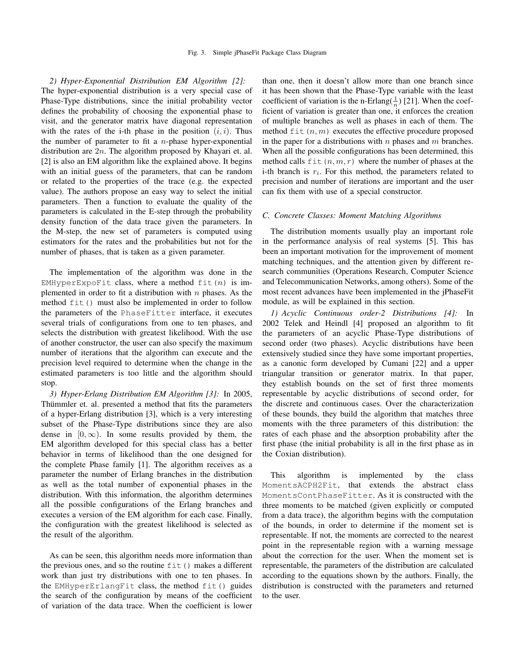<span id="page-6-0"></span>*2) Hyper-Exponential Distribution EM Algorithm [2]:* The hyper-exponential distribution is a very special case of Phase-Type distributions, since the initial probability vector defines the probability of choosing the exponential phase to visit, and the generator matrix have diagonal representation with the rates of the i-th phase in the position  $(i, i)$ . Thus the number of parameter to fit a  $n$ -phase hyper-exponential distribution are  $2n$ . The algorithm proposed by Khayari et. al. [2] is also an EM algorithm like the explained above. It begins with an initial guess of the parameters, that can be random or related to the properties of the trace (e.g. the expected value). The authors propose an easy way to select the initial parameters. Then a function to evaluate the quality of the parameters is calculated in the E-step through the probability density function of the data trace given the parameters. In the M-step, the new set of parameters is computed using estimators for the rates and the probabilities but not for the number of phases, that is taken as a given parameter.

The implementation of the algorithm was done in the EMHyperExpoFit class, where a method  $fit(n)$  is implemented in order to fit a distribution with  $n$  phases. As the method fit() must also be implemented in order to follow the parameters of the PhaseFitter interface, it executes several trials of configurations from one to ten phases, and selects the distribution with greatest likelihood. With the use of another constructor, the user can also specify the maximum number of iterations that the algorithm can execute and the precision level required to determine when the change in the estimated parameters is too little and the algorithm should stop.

<span id="page-6-1"></span>*3) Hyper-Erlang Distribution EM Algorithm [3]:* In 2005, Thümmler et. al. presented a method that fits the parameters of a hyper-Erlang distribution [3], which is a very interesting subset of the Phase-Type distributions since they are also dense in  $[0, \infty)$ . In some results provided by them, the EM algorithm developed for this special class has a better behavior in terms of likelihood than the one designed for the complete Phase family [1]. The algorithm receives as a parameter the number of Erlang branches in the distribution as well as the total number of exponential phases in the distribution. With this information, the algorithm determines all the possible configurations of the Erlang branches and executes a version of the EM algorithm for each case. Finally, the configuration with the greatest likelihood is selected as the result of the algorithm.

As can be seen, this algorithm needs more information than the previous ones, and so the routine  $fit()$  makes a different work than just try distributions with one to ten phases. In the EMHyperErlangFit class, the method fit() guides the search of the configuration by means of the coefficient of variation of the data trace. When the coefficient is lower

<span id="page-6-4"></span>than one, then it doesn't allow more than one branch since it has been shown that the Phase-Type variable with the least coefficient of variation is the n-Erlang( $\frac{1}{n}$ ) [21]. When the coefficient of variation is greater than one, it enforces the creation of multiple branches as well as phases in each of them. The method  $f$ it $(n, m)$  executes the effective procedure proposed in the paper for a distributions with  $n$  phases and  $m$  branches. When all the possible configurations has been determined, this method calls  $f$ it  $(n, m, r)$  where the number of phases at the i-th branch is  $r_i$ . For this method, the parameters related to precision and number of iterations are important and the user can fix them with use of a special constructor.

## <span id="page-6-2"></span>*C. Concrete Classes: Moment Matching Algorithms*

The distribution moments usually play an important role in the performance analysis of real systems [5]. This has been an important motivation for the improvement of moment matching techniques, and the attention given by different research communities (Operations Research, Computer Science and Telecommunication Networks, among others). Some of the most recent advances have been implemented in the jPhaseFit module, as will be explained in this section.

<span id="page-6-3"></span>*1) Acyclic Continuous order-2 Distributions [4]:* In 2002 Telek and Heindl [4] proposed an algorithm to fit the parameters of an acyclic Phase-Type distributions of second order (two phases). Acyclic distributions have been extensively studied since they have some important properties, as a canonic form developed by Cumani [22] and a upper triangular transition or generator matrix. In that paper, they establish bounds on the set of first three moments representable by acyclic distributions of second order, for the discrete and continuous cases. Over the characterization of these bounds, they build the algorithm that matches three moments with the three parameters of this distribution: the rates of each phase and the absorption probability after the first phase (the initial probability is all in the first phase as in the Coxian distribution).

This algorithm is implemented by the class MomentsACPH2Fit, that extends the abstract class MomentsContPhaseFitter. As it is constructed with the three moments to be matched (given explicitly or computed from a data trace), the algorithm begins with the computation of the bounds, in order to determine if the moment set is representable. If not, the moments are corrected to the nearest point in the representable region with a warning message about the correction for the user. When the moment set is representable, the parameters of the distribution are calculated according to the equations shown by the authors. Finally, the distribution is constructed with the parameters and returned to the user.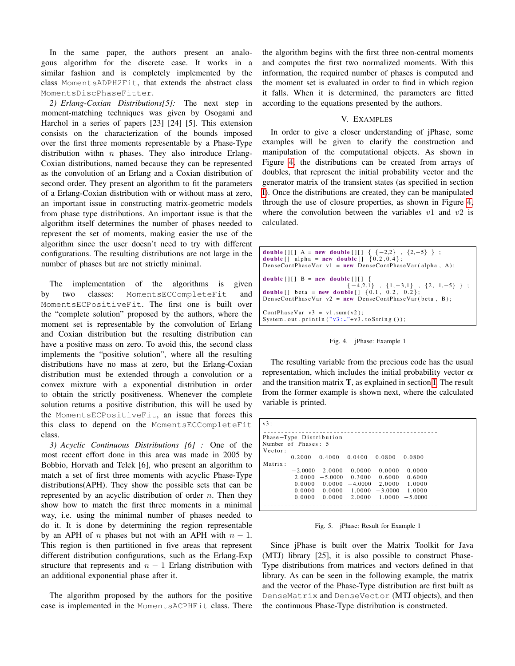In the same paper, the authors present an analogous algorithm for the discrete case. It works in a similar fashion and is completely implemented by the class MomentsADPH2Fit, that extends the abstract class MomentsDiscPhaseFitter.

<span id="page-7-0"></span>*2) Erlang-Coxian Distributions[5]:* The next step in moment-matching techniques was given by Osogami and Harchol in a series of papers [23] [24] [5]. This extension consists on the characterization of the bounds imposed over the first three moments representable by a Phase-Type distribution withn  $n$  phases. They also introduce Erlang-Coxian distributions, named because they can be represented as the convolution of an Erlang and a Coxian distribution of second order. They present an algorithm to fit the parameters of a Erlang-Coxian distribution with or without mass at zero, an important issue in constructing matrix-geometric models from phase type distributions. An important issue is that the algorithm itself determines the number of phases needed to represent the set of moments, making easier the use of the algorithm since the user doesn't need to try with different configurations. The resulting distributions are not large in the number of phases but are not strictly minimal.

The implementation of the algorithms is given by two classes: MomentsECCompleteFit and MomentsECPositiveFit. The first one is built over the "complete solution" proposed by the authors, where the moment set is representable by the convolution of Erlang and Coxian distribution but the resulting distribution can have a positive mass on zero. To avoid this, the second class implements the "positive solution", where all the resulting distributions have no mass at zero, but the Erlang-Coxian distribution must be extended through a convolution or a convex mixture with a exponential distribution in order to obtain the strictly positiveness. Whenever the complete solution returns a positive distribution, this will be used by the MomentsECPositiveFit, an issue that forces this this class to depend on the MomentsECCompleteFit class.

<span id="page-7-1"></span>*3) Acyclic Continuous Distributions [6] :* One of the most recent effort done in this area was made in 2005 by Bobbio, Horvath and Telek [6], who present an algorithm to match a set of first three moments with acyclic Phase-Type distributions(APH). They show the possible sets that can be represented by an acyclic distribution of order  $n$ . Then they show how to match the first three moments in a minimal way, i.e. using the minimal number of phases needed to do it. It is done by determining the region representable by an APH of n phases but not with an APH with  $n - 1$ . This region is then partitioned in five areas that represent different distribution configurations, such as the Erlang-Exp structure that represents and  $n - 1$  Erlang distribution with an additional exponential phase after it.

The algorithm proposed by the authors for the positive case is implemented in the MomentsACPHFit class. There the algorithm begins with the first three non-central moments and computes the first two normalized moments. With this information, the required number of phases is computed and the moment set is evaluated in order to find in which region it falls. When it is determined, the parameters are fitted according to the equations presented by the authors.

## V. EXAMPLES

<span id="page-7-2"></span>In order to give a closer understanding of jPhase, some examples will be given to clarify the construction and manipulation of the computational objects. As shown in Figure [4,](#page-7-3) the distributions can be created from arrays of doubles, that represent the initial probability vector and the generator matrix of the transient states (as specified in section [I\)](#page-1-0). Once the distributions are created, they can be manipulated through the use of closure properties, as shown in Figure [4,](#page-7-3) where the convolution between the variables  $v1$  and  $v2$  is calculated.

```
double [ ] [ ] A = new double [ ] [ ] { {−2,2} , {2,-5} } ;<br>double [ ] alpha = new double [ ] {0.2,0.4};
DenseContPhaseVar v1 = new DenseContPhaseVar (alpha, A);
double [][] B = new double [][]\{-4,2,1\} , \{1,-3,1\} , \{2, 1, -5\} } ;<br>double [] beta = new double [] \{0.1, 0.2, 0.2\};
DenseContPhaseVar v2 = new DenseContPhaseVar(beta, B);ContPhaseVar v3 = v1.sum(v2);System . out . println ("v3:..."+v3. to String ());
```
<span id="page-7-3"></span>Fig. 4. jPhase: Example 1

The resulting variable from the precious code has the usual representation, which includes the initial probability vector  $\alpha$ and the transition matrix T, as explained in section [I.](#page-1-0) The result from the former example is shown next, where the calculated variable is printed.

| v3:     |                         |           |           |           |           |  |
|---------|-------------------------|-----------|-----------|-----------|-----------|--|
|         |                         |           |           |           |           |  |
|         | Phase-Type Distribution |           |           |           |           |  |
|         | Number of Phases: 5     |           |           |           |           |  |
| Vector: |                         |           |           |           |           |  |
|         | 0.2000                  | 0.4000    | 0.0400    | 0.0800    | 0.0800    |  |
| Matrix: |                         |           |           |           |           |  |
|         | $-2.0000$               | 2.0000    | 0.0000    | 0.0000    | 0.0000    |  |
|         | 2.0000                  | $-5.0000$ | 0.3000    | 0.6000    | 0.6000    |  |
|         | 0.0000                  | 0.0000    | $-4.0000$ | 2.0000    | 1.0000    |  |
|         | 0.0000                  | 0.0000    | 1.0000    | $-3.0000$ | 1.0000    |  |
|         | 0.0000                  | 0.0000    | 2.0000    | 1.0000    | $-5.0000$ |  |
|         |                         |           |           |           |           |  |

Fig. 5. jPhase: Result for Example 1

Since jPhase is built over the Matrix Toolkit for Java (MTJ) library [25], it is also possible to construct Phase-Type distributions from matrices and vectors defined in that library. As can be seen in the following example, the matrix and the vector of the Phase-Type distribution are first built as DenseMatrix and DenseVector (MTJ objects), and then the continuous Phase-Type distribution is constructed.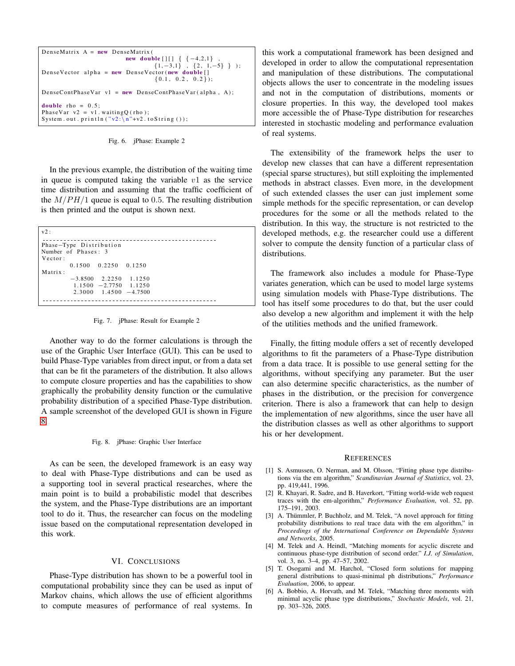```
DenseMatrix A = new DenseMatrixnew double [ ] [ ] { } { } { } { } { } { } { } { } { } { }{1, -3, 1} , {2, 1, -5} } );
DenseVector alpha = new DenseVector (new double []
                                          {0.1, 0.2, 0.2};DenseContPhaseVar v1 = new DenseContPhaseVar (alpha, A);
double rho = 0.5;
PhaseVar v2 = v1. waitingQ(rho);
System . out . println ("v2:\n\overline{\n\begin{bmatrix} n''+v2 \end{bmatrix}} to String ());
```
Fig. 6. jPhase: Example 2

In the previous example, the distribution of the waiting time in queue is computed taking the variable  $v1$  as the service time distribution and assuming that the traffic coefficient of the  $M/PH/1$  queue is equal to 0.5. The resulting distribution is then printed and the output is shown next.

| v2:                                |  |  |  |  |
|------------------------------------|--|--|--|--|
| Phase-Type Distribution            |  |  |  |  |
| Number of Phases: 3                |  |  |  |  |
| Vector:                            |  |  |  |  |
| $0.1500 \quad 0.2250 \quad 0.1250$ |  |  |  |  |
| Matrix:                            |  |  |  |  |
| $-3.8500$ 2.2250 1.1250            |  |  |  |  |
| $1.1500 -2.7750 1.1250$            |  |  |  |  |
| $2.3000$ $1.4500$ $-4.7500$        |  |  |  |  |
|                                    |  |  |  |  |

Fig. 7. jPhase: Result for Example 2

Another way to do the former calculations is through the use of the Graphic User Interface (GUI). This can be used to build Phase-Type variables from direct input, or from a data set that can be fit the parameters of the distribution. It also allows to compute closure properties and has the capabilities to show graphically the probability density function or the cumulative probability distribution of a specified Phase-Type distribution. A sample screenshot of the developed GUI is shown in Figure [8.](#page-8-2)

### <span id="page-8-2"></span>Fig. 8. jPhase: Graphic User Interface

As can be seen, the developed framework is an easy way to deal with Phase-Type distributions and can be used as a supporting tool in several practical researches, where the main point is to build a probabilistic model that describes the system, and the Phase-Type distributions are an important tool to do it. Thus, the researcher can focus on the modeling issue based on the computational representation developed in this work.

## VI. CONCLUSIONS

<span id="page-8-0"></span>Phase-Type distribution has shown to be a powerful tool in computational probability since they can be used as input of Markov chains, which allows the use of efficient algorithms to compute measures of performance of real systems. In

this work a computational framework has been designed and developed in order to allow the computational representation and manipulation of these distributions. The computational objects allows the user to concentrate in the modeling issues and not in the computation of distributions, moments or closure properties. In this way, the developed tool makes more accessible the of Phase-Type distribution for researches interested in stochastic modeling and performance evaluation of real systems.

The extensibility of the framework helps the user to develop new classes that can have a different representation (special sparse structures), but still exploiting the implemented methods in abstract classes. Even more, in the development of such extended classes the user can just implement some simple methods for the specific representation, or can develop procedures for the some or all the methods related to the distribution. In this way, the structure is not restricted to the developed methods, e.g. the researcher could use a different solver to compute the density function of a particular class of distributions.

The framework also includes a module for Phase-Type variates generation, which can be used to model large systems using simulation models with Phase-Type distributions. The tool has itself some procedures to do that, but the user could also develop a new algorithm and implement it with the help of the utilities methods and the unified framework.

Finally, the fitting module offers a set of recently developed algorithms to fit the parameters of a Phase-Type distribution from a data trace. It is possible to use general setting for the algorithms, without specifying any parameter. But the user can also determine specific characteristics, as the number of phases in the distribution, or the precision for convergence criterion. There is also a framework that can help to design the implementation of new algorithms, since the user have all the distribution classes as well as other algorithms to support his or her development.

### REFERENCES

- <span id="page-8-1"></span>[1] S. Asmussen, O. Nerman, and M. Olsson, "Fitting phase type distributions via the em algorithm," *Scandinavian Journal of Statistics*, vol. 23, pp. 419,441, 1996.
- [2] R. Khayari, R. Sadre, and B. Haverkort, "Fitting world-wide web request traces with the em-algorithm," *Performance Evaluation*, vol. 52, pp. 175–191, 2003.
- [3] A. Thümmler, P. Buchholz, and M. Telek, "A novel approach for fitting probability distributions to real trace data with the em algorithm," in *Proceedings of the International Conference on Dependable Systems and Networks*, 2005.
- [4] M. Telek and A. Heindl, "Matching moments for acyclic discrete and continuous phase-type distribution of second order." *I.J. of Simulation*, vol. 3, no. 3–4, pp. 47–57, 2002.
- [5] T. Osogami and M. Harchol, "Closed form solutions for mapping general distributions to quasi-minimal ph distributions," *Performance Evaluation*, 2006, to appear.
- [6] A. Bobbio, A. Horvath, and M. Telek, "Matching three moments with minimal acyclic phase type distributions," *Stochastic Models*, vol. 21, pp. 303–326, 2005.